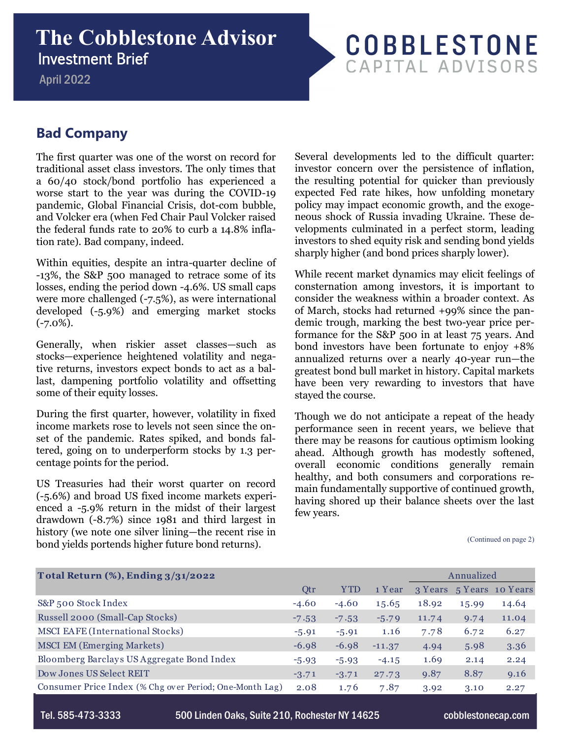## **The Cobblestone Advisor**  Investment Brief

April 2022

## **COBBLESTONE** CAPITAL ADVISORS

## **Bad Company**

The first quarter was one of the worst on record for traditional asset class investors. The only times that a 60/40 stock/bond portfolio has experienced a worse start to the year was during the COVID-19 pandemic, Global Financial Crisis, dot-com bubble, and Volcker era (when Fed Chair Paul Volcker raised the federal funds rate to 20% to curb a 14.8% inflation rate). Bad company, indeed.

Within equities, despite an intra-quarter decline of -13%, the S&P 500 managed to retrace some of its losses, ending the period down -4.6%. US small caps were more challenged (-7.5%), as were international developed (-5.9%) and emerging market stocks  $(-7.0\%).$ 

Generally, when riskier asset classes—such as stocks—experience heightened volatility and negative returns, investors expect bonds to act as a ballast, dampening portfolio volatility and offsetting some of their equity losses.

During the first quarter, however, volatility in fixed income markets rose to levels not seen since the onset of the pandemic. Rates spiked, and bonds faltered, going on to underperform stocks by 1.3 percentage points for the period.

US Treasuries had their worst quarter on record (-5.6%) and broad US fixed income markets experienced a -5.9% return in the midst of their largest drawdown (-8.7%) since 1981 and third largest in history (we note one silver lining—the recent rise in bond yields portends higher future bond returns).

Several developments led to the difficult quarter: investor concern over the persistence of inflation, the resulting potential for quicker than previously expected Fed rate hikes, how unfolding monetary policy may impact economic growth, and the exogeneous shock of Russia invading Ukraine. These developments culminated in a perfect storm, leading investors to shed equity risk and sending bond yields sharply higher (and bond prices sharply lower).

While recent market dynamics may elicit feelings of consternation among investors, it is important to consider the weakness within a broader context. As of March, stocks had returned +99% since the pandemic trough, marking the best two-year price performance for the S&P 500 in at least 75 years. And bond investors have been fortunate to enjoy +8% annualized returns over a nearly 40-year run—the greatest bond bull market in history. Capital markets have been very rewarding to investors that have stayed the course.

Though we do not anticipate a repeat of the heady performance seen in recent years, we believe that there may be reasons for cautious optimism looking ahead. Although growth has modestly softened, overall economic conditions generally remain healthy, and both consumers and corporations remain fundamentally supportive of continued growth, having shored up their balance sheets over the last few years.

(Continued on page 2)

| Total Return (%), Ending 3/31/2022                      |         |            |          |         | Annualized |                  |  |
|---------------------------------------------------------|---------|------------|----------|---------|------------|------------------|--|
|                                                         | Qtr     | <b>YTD</b> | 1 Year   | 3 Years |            | 5 Years 10 Years |  |
| S&P 500 Stock Index                                     | $-4.60$ | $-4.60$    | 15.65    | 18.92   | 15.99      | 14.64            |  |
| Russell 2000 (Small-Cap Stocks)                         | $-7.53$ | $-7.53$    | $-5.79$  | 11.74   | 9.74       | 11.04            |  |
| <b>MSCI EAFE (International Stocks)</b>                 | $-5.91$ | $-5.91$    | 1.16     | 7.78    | 6.72       | 6.27             |  |
| <b>MSCI EM (Emerging Markets)</b>                       | $-6.98$ | $-6.98$    | $-11.37$ | 4.94    | 5.98       | 3.36             |  |
| Bloomberg Barclays US Aggregate Bond Index              | $-5.93$ | $-5.93$    | $-4.15$  | 1.69    | 2.14       | 2.24             |  |
| Dow Jones US Select REIT                                | $-3.71$ | $-3.71$    | 27.73    | 9.87    | 8.87       | 9.16             |  |
| Consumer Price Index (% Chg over Period; One-Month Lag) | 2.08    | 1.76       | 7.87     | 3.92    | 3.10       | 2.27             |  |

Tel. 585-473-3333 500 Linden Oaks, Suite 210, Rochester NY 14625 cobblestonecap.com